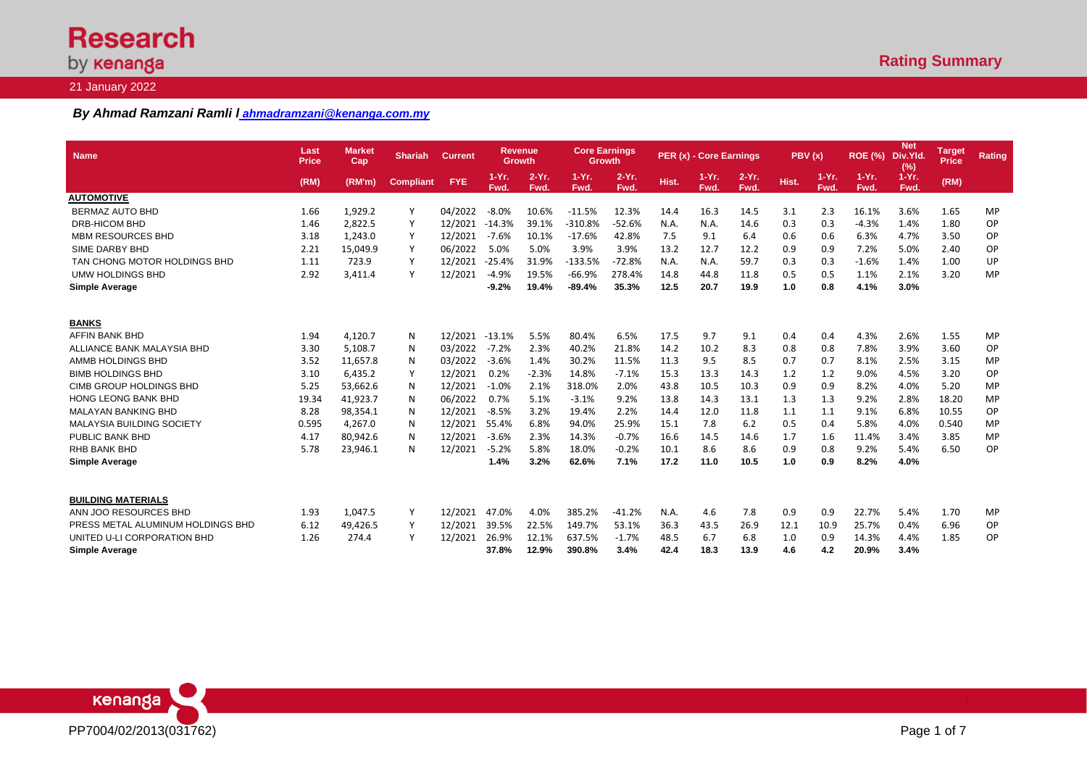# **Research** by **kenanga**

## 21 January 2022

## *By Ahmad Ramzani Ramli l ahmadramzani@kenanga.com.my*

| <b>Name</b>                       | Last<br><b>Price</b> | <b>Market</b><br>Cap | <b>Shariah</b>   | <b>Current</b> | <b>Revenue</b><br><b>Growth</b> |                  | <b>Core Earnings</b><br>Growth |                 |       | PER (x) - Core Earnings |                  | PBV(x) |                  | <b>ROE (%)</b>   | <b>Net</b><br>Div.Yld.<br>(%) | <b>Target</b><br><b>Price</b> | <b>Rating</b> |
|-----------------------------------|----------------------|----------------------|------------------|----------------|---------------------------------|------------------|--------------------------------|-----------------|-------|-------------------------|------------------|--------|------------------|------------------|-------------------------------|-------------------------------|---------------|
|                                   | (RM)                 | (RM'm)               | <b>Compliant</b> | <b>FYE</b>     | $1-Yr.$<br>Fwd.                 | $2-Yr$ .<br>Fwd. | $1-Yr.$<br>Fwd.                | $2-Yr.$<br>Fwd. | Hist. | $1-Yr.$<br>Fwd.         | $2-Yr$ .<br>Fwd. | Hist.  | $1-Yr$ .<br>Fwd. | $1-Yr$ .<br>Fwd. | $1-Yr.$<br>Fwd.               | (RM)                          |               |
| <b>AUTOMOTIVE</b>                 |                      |                      |                  |                |                                 |                  |                                |                 |       |                         |                  |        |                  |                  |                               |                               |               |
| <b>BERMAZ AUTO BHD</b>            | 1.66                 | 1,929.2              | Υ                | 04/2022        | $-8.0%$                         | 10.6%            | $-11.5%$                       | 12.3%           | 14.4  | 16.3                    | 14.5             | 3.1    | 2.3              | 16.1%            | 3.6%                          | 1.65                          | MP            |
| DRB-HICOM BHD                     | 1.46                 | 2,822.5              |                  | 12/2021        | $-14.3%$                        | 39.1%            | $-310.8%$                      | $-52.6%$        | N.A.  | N.A.                    | 14.6             | 0.3    | 0.3              | $-4.3%$          | 1.4%                          | 1.80                          | OP            |
| <b>MBM RESOURCES BHD</b>          | 3.18                 | 1,243.0              | Υ                | 12/2021        | $-7.6%$                         | 10.1%            | $-17.6%$                       | 42.8%           | 7.5   | 9.1                     | 6.4              | 0.6    | 0.6              | 6.3%             | 4.7%                          | 3.50                          | OP            |
| SIME DARBY BHD                    | 2.21                 | 15,049.9             | Υ                | 06/2022        | 5.0%                            | 5.0%             | 3.9%                           | 3.9%            | 13.2  | 12.7                    | 12.2             | 0.9    | 0.9              | 7.2%             | 5.0%                          | 2.40                          | OP            |
| TAN CHONG MOTOR HOLDINGS BHD      | 1.11                 | 723.9                |                  | 12/2021        | $-25.4%$                        | 31.9%            | $-133.5%$                      | $-72.8%$        | N.A.  | N.A.                    | 59.7             | 0.3    | 0.3              | $-1.6%$          | 1.4%                          | 1.00                          | UP            |
| <b>UMW HOLDINGS BHD</b>           | 2.92                 | 3,411.4              | Y                | 12/2021        | $-4.9%$                         | 19.5%            | $-66.9%$                       | 278.4%          | 14.8  | 44.8                    | 11.8             | 0.5    | 0.5              | 1.1%             | 2.1%                          | 3.20                          | MP            |
| <b>Simple Average</b>             |                      |                      |                  |                | $-9.2%$                         | 19.4%            | $-89.4%$                       | 35.3%           | 12.5  | 20.7                    | 19.9             | 1.0    | 0.8              | 4.1%             | 3.0%                          |                               |               |
| <b>BANKS</b>                      |                      |                      |                  |                |                                 |                  |                                |                 |       |                         |                  |        |                  |                  |                               |                               |               |
| AFFIN BANK BHD                    | 1.94                 | 4,120.7              | N                | 12/2021 -13.1% |                                 | 5.5%             | 80.4%                          | 6.5%            | 17.5  | 9.7                     | 9.1              | 0.4    | 0.4              | 4.3%             | 2.6%                          | 1.55                          | MP            |
| ALLIANCE BANK MALAYSIA BHD        | 3.30                 | 5,108.7              | N                | 03/2022        | $-7.2%$                         | 2.3%             | 40.2%                          | 21.8%           | 14.2  | 10.2                    | 8.3              | 0.8    | 0.8              | 7.8%             | 3.9%                          | 3.60                          | OP            |
| AMMB HOLDINGS BHD                 | 3.52                 | 11,657.8             | N                | 03/2022        | $-3.6%$                         | 1.4%             | 30.2%                          | 11.5%           | 11.3  | 9.5                     | 8.5              | 0.7    | 0.7              | 8.1%             | 2.5%                          | 3.15                          | MP            |
| <b>BIMB HOLDINGS BHD</b>          | 3.10                 | 6,435.2              | Y                | 12/2021        | 0.2%                            | $-2.3%$          | 14.8%                          | $-7.1%$         | 15.3  | 13.3                    | 14.3             | 1.2    | 1.2              | 9.0%             | 4.5%                          | 3.20                          | OP            |
| CIMB GROUP HOLDINGS BHD           | 5.25                 | 53,662.6             | N                | 12/2021        | $-1.0%$                         | 2.1%             | 318.0%                         | 2.0%            | 43.8  | 10.5                    | 10.3             | 0.9    | 0.9              | 8.2%             | 4.0%                          | 5.20                          | MP            |
| <b>HONG LEONG BANK BHD</b>        | 19.34                | 41,923.7             | N                | 06/2022        | 0.7%                            | 5.1%             | $-3.1%$                        | 9.2%            | 13.8  | 14.3                    | 13.1             | 1.3    | 1.3              | 9.2%             | 2.8%                          | 18.20                         | MP            |
| <b>MALAYAN BANKING BHD</b>        | 8.28                 | 98,354.1             | N                | 12/2021        | $-8.5%$                         | 3.2%             | 19.4%                          | 2.2%            | 14.4  | 12.0                    | 11.8             | 1.1    | 1.1              | 9.1%             | 6.8%                          | 10.55                         | OP            |
| <b>MALAYSIA BUILDING SOCIETY</b>  | 0.595                | 4,267.0              | N                | 12/2021        | 55.4%                           | 6.8%             | 94.0%                          | 25.9%           | 15.1  | 7.8                     | 6.2              | 0.5    | 0.4              | 5.8%             | 4.0%                          | 0.540                         | <b>MP</b>     |
| PUBLIC BANK BHD                   | 4.17                 | 80,942.6             | N                | 12/2021        | $-3.6%$                         | 2.3%             | 14.3%                          | $-0.7%$         | 16.6  | 14.5                    | 14.6             | 1.7    | 1.6              | 11.4%            | 3.4%                          | 3.85                          | <b>MP</b>     |
| RHB BANK BHD                      | 5.78                 | 23,946.1             | N                | 12/2021        | $-5.2%$                         | 5.8%             | 18.0%                          | $-0.2%$         | 10.1  | 8.6                     | 8.6              | 0.9    | 0.8              | 9.2%             | 5.4%                          | 6.50                          | <b>OP</b>     |
| <b>Simple Average</b>             |                      |                      |                  |                | 1.4%                            | 3.2%             | 62.6%                          | 7.1%            | 17.2  | 11.0                    | 10.5             | 1.0    | 0.9              | 8.2%             | 4.0%                          |                               |               |
| <b>BUILDING MATERIALS</b>         |                      |                      |                  |                |                                 |                  |                                |                 |       |                         |                  |        |                  |                  |                               |                               |               |
| ANN JOO RESOURCES BHD             | 1.93                 | 1,047.5              | Υ                | 12/2021        | 47.0%                           | 4.0%             | 385.2%                         | $-41.2%$        | N.A.  | 4.6                     | 7.8              | 0.9    | 0.9              | 22.7%            | 5.4%                          | 1.70                          | MP            |
| PRESS METAL ALUMINUM HOLDINGS BHD | 6.12                 | 49,426.5             | Y                | 12/2021        | 39.5%                           | 22.5%            | 149.7%                         | 53.1%           | 36.3  | 43.5                    | 26.9             | 12.1   | 10.9             | 25.7%            | 0.4%                          | 6.96                          | OP            |
| UNITED U-LI CORPORATION BHD       | 1.26                 | 274.4                | Υ                | 12/2021        | 26.9%                           | 12.1%            | 637.5%                         | $-1.7%$         | 48.5  | 6.7                     | 6.8              | 1.0    | 0.9              | 14.3%            | 4.4%                          | 1.85                          | OP            |
| <b>Simple Average</b>             |                      |                      |                  |                | 37.8%                           | 12.9%            | 390.8%                         | 3.4%            | 42.4  | 18.3                    | 13.9             | 4.6    | 4.2              | 20.9%            | 3.4%                          |                               |               |

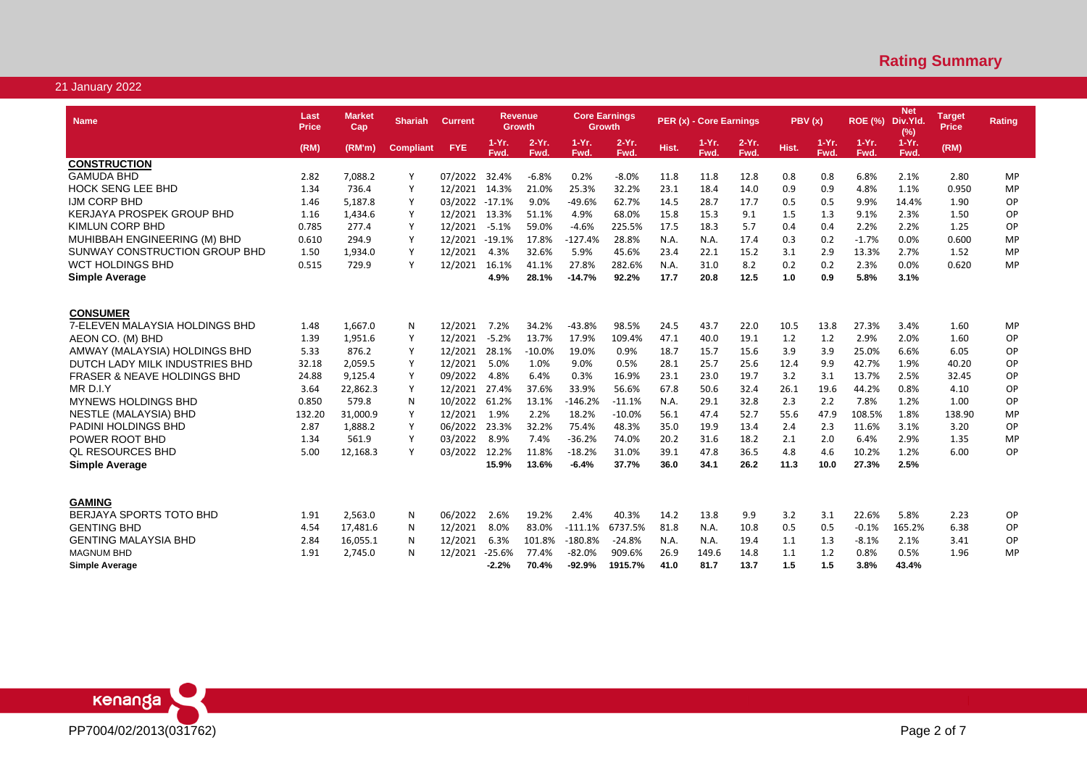| <b>Name</b>                            | Last<br><b>Price</b> | Market<br>Cap | <b>Shariah</b>   | <b>Current</b> |                  | Revenue<br>Growth |                  | <b>Core Earnings</b><br><b>Growth</b> |       | PER (x) - Core Earnings |                  | PBV(x) |                 | <b>ROE (%)</b>   | <b>Net</b><br>Div.Yld.<br>(%) | Target<br><b>Price</b> | <b>Rating</b> |
|----------------------------------------|----------------------|---------------|------------------|----------------|------------------|-------------------|------------------|---------------------------------------|-------|-------------------------|------------------|--------|-----------------|------------------|-------------------------------|------------------------|---------------|
|                                        | (RM)                 | (RM'm)        | <b>Compliant</b> | <b>FYE</b>     | $1-Yr$ .<br>Fwd. | $2-Yr$ .<br>Fwd.  | $1-Yr$ .<br>Fwd. | $2-Yr$ .<br>Fwd.                      | Hist. | $1-Yr.$<br>Fwd.         | $2-Yr$ .<br>Fwd. | Hist.  | $1-Yr.$<br>Fwd. | $1-Yr$ .<br>Fwd. | $1-Yr$ .<br>Fwd.              | (RM)                   |               |
| <b>CONSTRUCTION</b>                    |                      |               |                  |                |                  |                   |                  |                                       |       |                         |                  |        |                 |                  |                               |                        |               |
| <b>GAMUDA BHD</b>                      | 2.82                 | 7,088.2       |                  | 07/2022        | 32.4%            | $-6.8%$           | 0.2%             | $-8.0%$                               | 11.8  | 11.8                    | 12.8             | 0.8    | 0.8             | 6.8%             | 2.1%                          | 2.80                   | MP            |
| <b>HOCK SENG LEE BHD</b>               | 1.34                 | 736.4         | Y                | 12/2021        | 14.3%            | 21.0%             | 25.3%            | 32.2%                                 | 23.1  | 18.4                    | 14.0             | 0.9    | 0.9             | 4.8%             | 1.1%                          | 0.950                  | <b>MP</b>     |
| <b>IJM CORP BHD</b>                    | 1.46                 | 5,187.8       | Y                | 03/2022        | $-17.1%$         | 9.0%              | $-49.6%$         | 62.7%                                 | 14.5  | 28.7                    | 17.7             | 0.5    | 0.5             | 9.9%             | 14.4%                         | 1.90                   | OP            |
| <b>KERJAYA PROSPEK GROUP BHD</b>       | 1.16                 | 1,434.6       | Y                | 12/2021        | 13.3%            | 51.1%             | 4.9%             | 68.0%                                 | 15.8  | 15.3                    | 9.1              | 1.5    | 1.3             | 9.1%             | 2.3%                          | 1.50                   | OP            |
| <b>KIMLUN CORP BHD</b>                 | 0.785                | 277.4         | Y                | 12/2021        | $-5.1%$          | 59.0%             | $-4.6%$          | 225.5%                                | 17.5  | 18.3                    | 5.7              | 0.4    | 0.4             | 2.2%             | 2.2%                          | 1.25                   | OP            |
| MUHIBBAH ENGINEERING (M) BHD           | 0.610                | 294.9         |                  | 12/2021        | $-19.1%$         | 17.8%             | $-127.4%$        | 28.8%                                 | N.A.  | N.A.                    | 17.4             | 0.3    | 0.2             | $-1.7%$          | 0.0%                          | 0.600                  | <b>MP</b>     |
| SUNWAY CONSTRUCTION GROUP BHD          | 1.50                 | 1,934.0       | Y                | 12/2021        | 4.3%             | 32.6%             | 5.9%             | 45.6%                                 | 23.4  | 22.1                    | 15.2             | 3.1    | 2.9             | 13.3%            | 2.7%                          | 1.52                   | <b>MP</b>     |
| WCT HOLDINGS BHD                       | 0.515                | 729.9         | Y                | 12/2021        | 16.1%            | 41.1%             | 27.8%            | 282.6%                                | N.A.  | 31.0                    | 8.2              | 0.2    | 0.2             | 2.3%             | 0.0%                          | 0.620                  | <b>MP</b>     |
| <b>Simple Average</b>                  |                      |               |                  |                | 4.9%             | 28.1%             | $-14.7%$         | 92.2%                                 | 17.7  | 20.8                    | 12.5             | 1.0    | 0.9             | 5.8%             | 3.1%                          |                        |               |
|                                        |                      |               |                  |                |                  |                   |                  |                                       |       |                         |                  |        |                 |                  |                               |                        |               |
| <b>CONSUMER</b>                        |                      |               |                  |                |                  |                   |                  |                                       |       |                         |                  |        |                 |                  |                               |                        |               |
| 7-ELEVEN MALAYSIA HOLDINGS BHD         | 1.48                 | 1,667.0       | N                | 12/2021        | 7.2%             | 34.2%             | $-43.8%$         | 98.5%                                 | 24.5  | 43.7                    | 22.0             | 10.5   | 13.8            | 27.3%            | 3.4%                          | 1.60                   | MP            |
| AEON CO. (M) BHD                       | 1.39                 | 1,951.6       | Y                | 12/2021        | $-5.2%$          | 13.7%             | 17.9%            | 109.4%                                | 47.1  | 40.0                    | 19.1             | 1.2    | 1.2             | 2.9%             | 2.0%                          | 1.60                   | OP            |
| AMWAY (MALAYSIA) HOLDINGS BHD          | 5.33                 | 876.2         | Y                | 12/2021        | 28.1%            | $-10.0%$          | 19.0%            | 0.9%                                  | 18.7  | 15.7                    | 15.6             | 3.9    | 3.9             | 25.0%            | 6.6%                          | 6.05                   | OP            |
| DUTCH LADY MILK INDUSTRIES BHD         | 32.18                | 2,059.5       | Y                | 12/2021        | 5.0%             | 1.0%              | 9.0%             | 0.5%                                  | 28.1  | 25.7                    | 25.6             | 12.4   | 9.9             | 42.7%            | 1.9%                          | 40.20                  | OP            |
| <b>FRASER &amp; NEAVE HOLDINGS BHD</b> | 24.88                | 9.125.4       | Y                | 09/2022        | 4.8%             | 6.4%              | 0.3%             | 16.9%                                 | 23.1  | 23.0                    | 19.7             | 3.2    | 3.1             | 13.7%            | 2.5%                          | 32.45                  | OP            |
| MR D.I.Y                               | 3.64                 | 22,862.3      | Y                | 12/2021        | 27.4%            | 37.6%             | 33.9%            | 56.6%                                 | 67.8  | 50.6                    | 32.4             | 26.1   | 19.6            | 44.2%            | 0.8%                          | 4.10                   | OP            |
| <b>MYNEWS HOLDINGS BHD</b>             | 0.850                | 579.8         | N                | 10/2022        | 61.2%            | 13.1%             | $-146.2%$        | $-11.1%$                              | N.A.  | 29.1                    | 32.8             | 2.3    | 2.2             | 7.8%             | 1.2%                          | 1.00                   | OP            |
| NESTLE (MALAYSIA) BHD                  | 132.20               | 31,000.9      | Y                | 12/2021        | 1.9%             | 2.2%              | 18.2%            | $-10.0%$                              | 56.1  | 47.4                    | 52.7             | 55.6   | 47.9            | 108.5%           | 1.8%                          | 138.90                 | MP            |
| <b>PADINI HOLDINGS BHD</b>             | 2.87                 | 1,888.2       | Y                | 06/2022        | 23.3%            | 32.2%             | 75.4%            | 48.3%                                 | 35.0  | 19.9                    | 13.4             | 2.4    | 2.3             | 11.6%            | 3.1%                          | 3.20                   | OP            |
| POWER ROOT BHD                         | 1.34                 | 561.9         | Y                | 03/2022        | 8.9%             | 7.4%              | $-36.2%$         | 74.0%                                 | 20.2  | 31.6                    | 18.2             | 2.1    | 2.0             | 6.4%             | 2.9%                          | 1.35                   | MP            |
| <b>OL RESOURCES BHD</b>                | 5.00                 | 12,168.3      | Y                | 03/2022        | 12.2%            | 11.8%             | $-18.2%$         | 31.0%                                 | 39.1  | 47.8                    | 36.5             | 4.8    | 4.6             | 10.2%            | 1.2%                          | 6.00                   | OP            |
| <b>Simple Average</b>                  |                      |               |                  |                | 15.9%            | 13.6%             | $-6.4%$          | 37.7%                                 | 36.0  | 34.1                    | 26.2             | 11.3   | 10.0            | 27.3%            | 2.5%                          |                        |               |
| <b>GAMING</b>                          |                      |               |                  |                |                  |                   |                  |                                       |       |                         |                  |        |                 |                  |                               |                        |               |
| BERJAYA SPORTS TOTO BHD                | 1.91                 | 2,563.0       | N                | 06/2022        | 2.6%             | 19.2%             | 2.4%             | 40.3%                                 | 14.2  | 13.8                    | 9.9              | 3.2    | 3.1             | 22.6%            | 5.8%                          | 2.23                   | OP            |
| <b>GENTING BHD</b>                     | 4.54                 | 17,481.6      | N                | 12/2021        | 8.0%             | 83.0%             | $-111.1%$        | 6737.5%                               | 81.8  | N.A.                    | 10.8             | 0.5    | 0.5             | $-0.1%$          | 165.2%                        | 6.38                   | OP            |
| <b>GENTING MALAYSIA BHD</b>            | 2.84                 | 16,055.1      | N                | 12/2021        | 6.3%             | 101.8%            | $-180.8%$        | $-24.8%$                              | N.A.  | N.A.                    | 19.4             | 1.1    | 1.3             | $-8.1%$          | 2.1%                          | 3.41                   | OP            |
| <b>MAGNUM BHD</b>                      | 1.91                 | 2,745.0       | N                | 12/2021        | $-25.6%$         | 77.4%             | $-82.0%$         | 909.6%                                | 26.9  | 149.6                   | 14.8             | 1.1    | 1.2             | 0.8%             | 0.5%                          | 1.96                   | MP            |
| <b>Simple Average</b>                  |                      |               |                  |                | $-2.2%$          | 70.4%             | $-92.9%$         | 1915.7%                               | 41.0  | 81.7                    | 13.7             | 1.5    | 1.5             | 3.8%             | 43.4%                         |                        |               |
|                                        |                      |               |                  |                |                  |                   |                  |                                       |       |                         |                  |        |                 |                  |                               |                        |               |

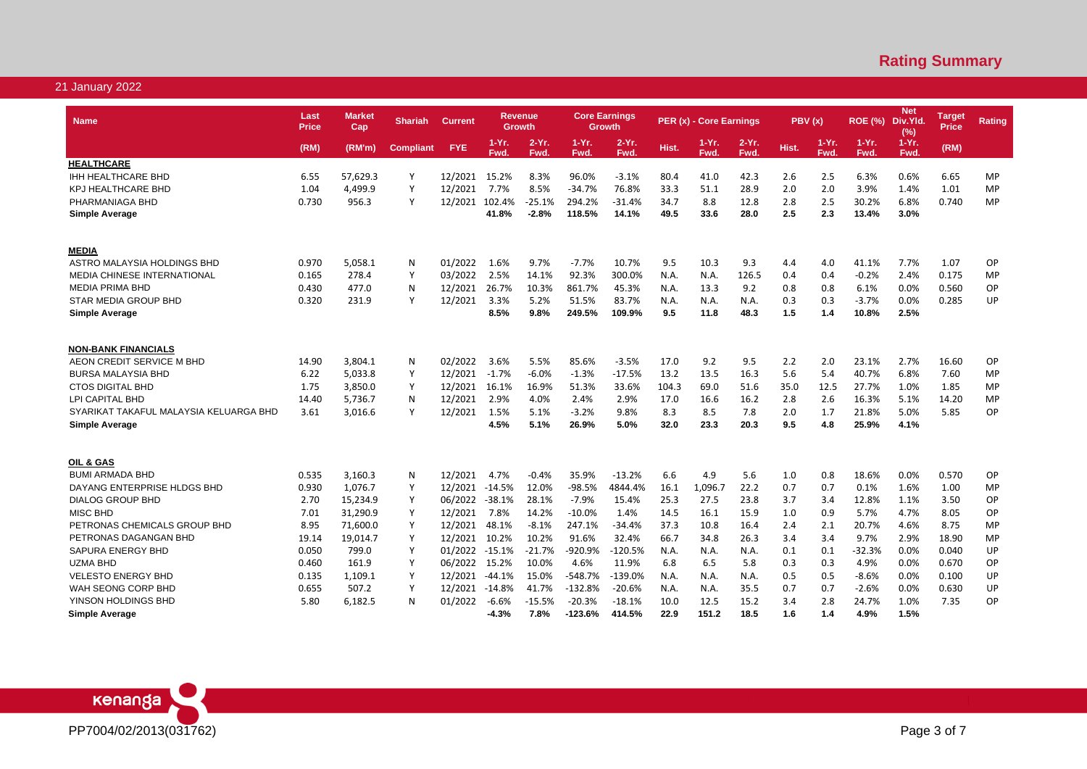| <b>Name</b>                            | Last<br><b>Price</b> | Market<br>Cap | <b>Shariah</b>   | <b>Current</b> |               | <b>Revenue</b><br><b>Growth</b> |               | <b>Core Earnings</b><br><b>Growth</b> |       | PER (x) - Core Earnings |                  | PBV(x) |                 | <b>ROE (%)</b>   | <b>Net</b><br>Div.Yld.<br>(%) | <u>Target</u><br><b>Price</b> | <b>Rating</b> |
|----------------------------------------|----------------------|---------------|------------------|----------------|---------------|---------------------------------|---------------|---------------------------------------|-------|-------------------------|------------------|--------|-----------------|------------------|-------------------------------|-------------------------------|---------------|
|                                        | (RM)                 | (RM'm)        | <b>Compliant</b> | <b>FYE</b>     | 1-Yr.<br>Fwd. | $2-Yr$ .<br>Fwd.                | 1-Yr.<br>Fwd. | $2-Yr.$<br>Fwd.                       | Hist. | 1-Yr.<br>Fwd.           | $2-Yr$ .<br>Fwd. | Hist.  | $1-Yr.$<br>Fwd. | $1-Yr$ .<br>Fwd. | $1-Yr.$<br>Fwd.               | (RM)                          |               |
| <b>HEALTHCARE</b>                      |                      |               |                  |                |               |                                 |               |                                       |       |                         |                  |        |                 |                  |                               |                               |               |
| <b>IHH HEALTHCARE BHD</b>              | 6.55                 | 57,629.3      | Y                | 12/2021        | 15.2%         | 8.3%                            | 96.0%         | $-3.1%$                               | 80.4  | 41.0                    | 42.3             | 2.6    | 2.5             | 6.3%             | 0.6%                          | 6.65                          | <b>MP</b>     |
| <b>KPJ HEALTHCARE BHD</b>              | 1.04                 | 4,499.9       | Υ                | 12/2021        | 7.7%          | 8.5%                            | $-34.7%$      | 76.8%                                 | 33.3  | 51.1                    | 28.9             | 2.0    | 2.0             | 3.9%             | 1.4%                          | 1.01                          | MP            |
| PHARMANIAGA BHD                        | 0.730                | 956.3         | Υ                | 12/2021        | 102.4%        | $-25.1%$                        | 294.2%        | -31.4%                                | 34.7  | 8.8                     | 12.8             | 2.8    | 2.5             | 30.2%            | 6.8%                          | 0.740                         | MP            |
| <b>Simple Average</b>                  |                      |               |                  |                | 41.8%         | $-2.8%$                         | 118.5%        | 14.1%                                 | 49.5  | 33.6                    | 28.0             | 2.5    | 2.3             | 13.4%            | 3.0%                          |                               |               |
|                                        |                      |               |                  |                |               |                                 |               |                                       |       |                         |                  |        |                 |                  |                               |                               |               |
| <b>MEDIA</b>                           |                      |               |                  |                |               |                                 |               |                                       |       |                         |                  |        |                 |                  |                               |                               |               |
| ASTRO MALAYSIA HOLDINGS BHD            | 0.970                | 5,058.1       | N                | 01/2022        | 1.6%          | 9.7%                            | $-7.7%$       | 10.7%                                 | 9.5   | 10.3                    | 9.3              | 4.4    | 4.0             | 41.1%            | 7.7%                          | 1.07                          | OP            |
| MEDIA CHINESE INTERNATIONAL            | 0.165                | 278.4         | Y                | 03/2022        | 2.5%          | 14.1%                           | 92.3%         | 300.0%                                | N.A.  | N.A.                    | 126.5            | 0.4    | 0.4             | $-0.2%$          | 2.4%                          | 0.175                         | MP            |
| <b>MEDIA PRIMA BHD</b>                 | 0.430                | 477.0         | N                | 12/2021        | 26.7%         | 10.3%                           | 861.7%        | 45.3%                                 | N.A.  | 13.3                    | 9.2              | 0.8    | 0.8             | 6.1%             | 0.0%                          | 0.560                         | OP            |
| <b>STAR MEDIA GROUP BHD</b>            | 0.320                | 231.9         | Y                | 12/2021        | 3.3%          | 5.2%                            | 51.5%         | 83.7%                                 | N.A.  | N.A.                    | N.A.             | 0.3    | 0.3             | $-3.7%$          | 0.0%                          | 0.285                         | UP            |
| <b>Simple Average</b>                  |                      |               |                  |                | 8.5%          | 9.8%                            | 249.5%        | 109.9%                                | 9.5   | 11.8                    | 48.3             | 1.5    | 1.4             | 10.8%            | 2.5%                          |                               |               |
|                                        |                      |               |                  |                |               |                                 |               |                                       |       |                         |                  |        |                 |                  |                               |                               |               |
| <b>NON-BANK FINANCIALS</b>             |                      |               |                  |                |               |                                 |               |                                       |       |                         |                  |        |                 |                  |                               |                               |               |
| AEON CREDIT SERVICE M BHD              | 14.90                | 3,804.1       | N                | 02/2022        | 3.6%          | 5.5%                            | 85.6%         | $-3.5%$                               | 17.0  | 9.2                     | 9.5              | 2.2    | 2.0             | 23.1%            | 2.7%                          | 16.60                         | OP            |
| <b>BURSA MALAYSIA BHD</b>              | 6.22                 | 5.033.8       | Y                | 12/2021        | $-1.7%$       | $-6.0%$                         | $-1.3%$       | $-17.5%$                              | 13.2  | 13.5                    | 16.3             | 5.6    | 5.4             | 40.7%            | 6.8%                          | 7.60                          | <b>MP</b>     |
| <b>CTOS DIGITAL BHD</b>                | 1.75                 | 3,850.0       | Y                | 12/2021        | 16.1%         | 16.9%                           | 51.3%         | 33.6%                                 | 104.3 | 69.0                    | 51.6             | 35.0   | 12.5            | 27.7%            | 1.0%                          | 1.85                          | <b>MP</b>     |
| LPI CAPITAL BHD                        | 14.40                | 5,736.7       | N                | 12/2021        | 2.9%          | 4.0%                            | 2.4%          | 2.9%                                  | 17.0  | 16.6                    | 16.2             | 2.8    | 2.6             | 16.3%            | 5.1%                          | 14.20                         | MP            |
| SYARIKAT TAKAFUL MALAYSIA KELUARGA BHD | 3.61                 | 3,016.6       | Y                | 12/2021        | 1.5%          | 5.1%                            | $-3.2%$       | 9.8%                                  | 8.3   | 8.5                     | 7.8              | 2.0    | 1.7             | 21.8%            | 5.0%                          | 5.85                          | <b>OP</b>     |
| <b>Simple Average</b>                  |                      |               |                  |                | 4.5%          | 5.1%                            | 26.9%         | 5.0%                                  | 32.0  | 23.3                    | 20.3             | 9.5    | 4.8             | 25.9%            | 4.1%                          |                               |               |
|                                        |                      |               |                  |                |               |                                 |               |                                       |       |                         |                  |        |                 |                  |                               |                               |               |
| OIL & GAS                              |                      |               |                  |                |               |                                 |               |                                       |       |                         |                  |        |                 |                  |                               |                               |               |
| <b>BUMI ARMADA BHD</b>                 | 0.535                | 3,160.3       | N                | 12/2021        | 4.7%          | $-0.4%$                         | 35.9%         | $-13.2%$                              | 6.6   | 4.9                     | 5.6              | 1.0    | 0.8             | 18.6%            | 0.0%                          | 0.570                         | OP            |
| DAYANG ENTERPRISE HLDGS BHD            | 0.930                | 1,076.7       | Y                | 12/2021 -14.5% |               | 12.0%                           | $-98.5%$      | 4844.4%                               | 16.1  | 1,096.7                 | 22.2             | 0.7    | 0.7             | 0.1%             | 1.6%                          | 1.00                          | MP            |
| <b>DIALOG GROUP BHD</b>                | 2.70                 | 15,234.9      | Y                | 06/2022        | $-38.1%$      | 28.1%                           | $-7.9%$       | 15.4%                                 | 25.3  | 27.5                    | 23.8             | 3.7    | 3.4             | 12.8%            | 1.1%                          | 3.50                          | OP            |
| <b>MISC BHD</b>                        | 7.01                 | 31,290.9      | Y                | 12/2021        | 7.8%          | 14.2%                           | $-10.0%$      | 1.4%                                  | 14.5  | 16.1                    | 15.9             | 1.0    | 0.9             | 5.7%             | 4.7%                          | 8.05                          | OP            |
| PETRONAS CHEMICALS GROUP BHD           | 8.95                 | 71,600.0      | Y                | 12/2021        | 48.1%         | $-8.1%$                         | 247.1%        | $-34.4%$                              | 37.3  | 10.8                    | 16.4             | 2.4    | 2.1             | 20.7%            | 4.6%                          | 8.75                          | <b>MP</b>     |
| PETRONAS DAGANGAN BHD                  | 19.14                | 19,014.7      | Y                | 12/2021        | 10.2%         | 10.2%                           | 91.6%         | 32.4%                                 | 66.7  | 34.8                    | 26.3             | 3.4    | 3.4             | 9.7%             | 2.9%                          | 18.90                         | <b>MP</b>     |
| SAPURA ENERGY BHD                      | 0.050                | 799.0         | Υ                | 01/2022        | $-15.1%$      | $-21.7%$                        | -920.9%       | $-120.5%$                             | N.A.  | N.A.                    | N.A.             | 0.1    | 0.1             | $-32.3%$         | 0.0%                          | 0.040                         | UP            |
| <b>UZMA BHD</b>                        | 0.460                | 161.9         | Y                | 06/2022        | 15.2%         | 10.0%                           | 4.6%          | 11.9%                                 | 6.8   | 6.5                     | 5.8              | 0.3    | 0.3             | 4.9%             | 0.0%                          | 0.670                         | OP            |
| <b>VELESTO ENERGY BHD</b>              | 0.135                | 1,109.1       | Y                | 12/2021        | -44.1%        | 15.0%                           | $-548.7%$     | $-139.0%$                             | N.A.  | N.A.                    | N.A.             | 0.5    | 0.5             | $-8.6%$          | 0.0%                          | 0.100                         | UP            |
| WAH SEONG CORP BHD                     | 0.655                | 507.2         | Υ                | 12/2021        | $-14.8%$      | 41.7%                           | $-132.8%$     | $-20.6%$                              | N.A.  | N.A.                    | 35.5             | 0.7    | 0.7             | $-2.6%$          | 0.0%                          | 0.630                         | UP            |
| YINSON HOLDINGS BHD                    | 5.80                 | 6,182.5       | N                | 01/2022        | $-6.6%$       | $-15.5%$                        | $-20.3%$      | $-18.1%$                              | 10.0  | 12.5                    | 15.2             | 3.4    | 2.8             | 24.7%            | 1.0%                          | 7.35                          | OP            |
| Simple Average                         |                      |               |                  |                | $-4.3%$       | 7.8%                            | $-123.6%$     | 414.5%                                | 22.9  | 151.2                   | 18.5             | 1.6    | 1.4             | 4.9%             | 1.5%                          |                               |               |

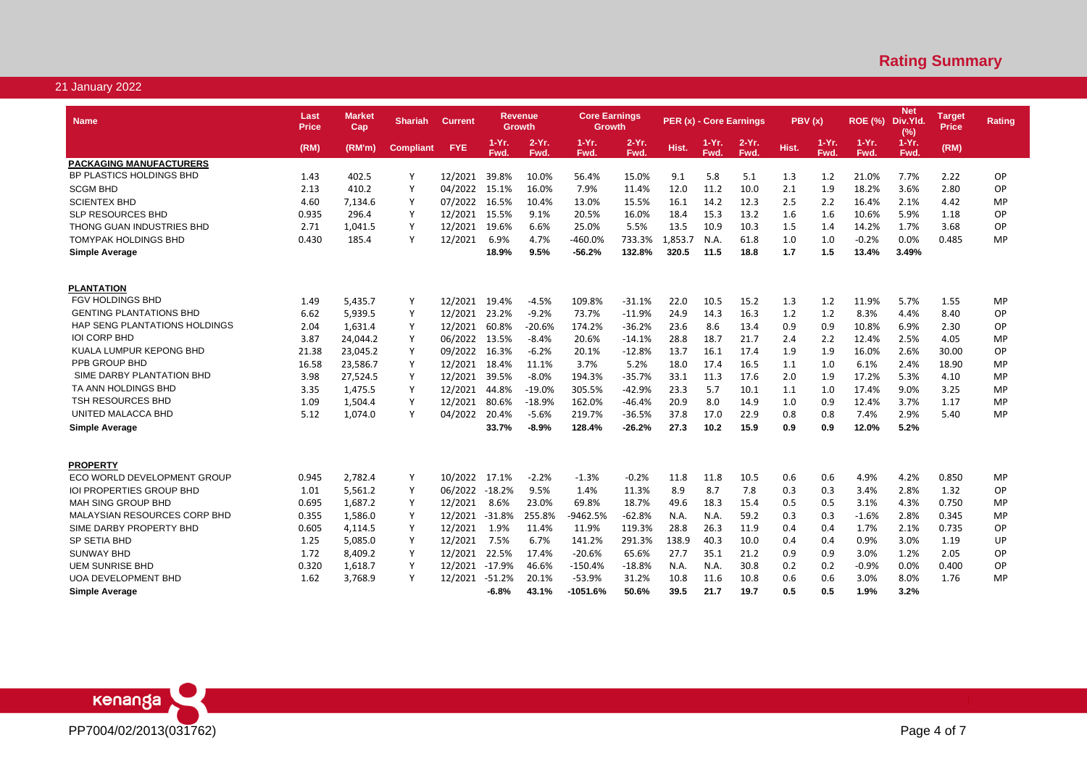| <b>Name</b>                                  | Last<br>Price | <b>Market</b><br>Cap | <b>Shariah</b>   | <b>Current</b> |                  | <b>Revenue</b><br>Growth | <b>Core Earnings</b><br>Growth |                  |         | PER (x) - Core Earnings |                  | PBV(x)     |               | <b>ROE (%)</b>  | <b>Net</b><br>Div.Yld.<br>(% ) | Target<br><b>Price</b> | Rating    |
|----------------------------------------------|---------------|----------------------|------------------|----------------|------------------|--------------------------|--------------------------------|------------------|---------|-------------------------|------------------|------------|---------------|-----------------|--------------------------------|------------------------|-----------|
|                                              | (RM)          | (RM'm)               | <b>Compliant</b> | <b>FYE</b>     | $1-Yr$ .<br>Fwd. | $2-Yr$ .<br>Fwd.         | $1-Yr$ .<br>Fwd.               | $2-Yr$ .<br>Fwd. | Hist.   | 1-Yr.<br>Fwd.           | $2-Yr$ .<br>Fwd. | Hist.      | 1-Yr.<br>Fwd. | $1-Yr.$<br>Fwd. | $1-Yr$ .<br>Fwd.               | (RM)                   |           |
| <b>PACKAGING MANUFACTURERS</b>               |               |                      |                  |                |                  |                          |                                |                  |         |                         |                  |            |               |                 |                                |                        |           |
| BP PLASTICS HOLDINGS BHD                     | 1.43          | 402.5                | Υ                | 12/2021        | 39.8%            | 10.0%                    | 56.4%                          | 15.0%            | 9.1     | 5.8                     | 5.1              | 1.3        | 1.2           | 21.0%           | 7.7%                           | 2.22                   | <b>OP</b> |
| <b>SCGM BHD</b>                              | 2.13          | 410.2                | Y                | 04/2022        | 15.1%            | 16.0%                    | 7.9%                           | 11.4%            | 12.0    | 11.2                    | 10.0             | 2.1        | 1.9           | 18.2%           | 3.6%                           | 2.80                   | OP        |
| <b>SCIENTEX BHD</b>                          | 4.60          | 7,134.6              | Y                | 07/2022        | 16.5%            | 10.4%                    | 13.0%                          | 15.5%            | 16.1    | 14.2                    | 12.3             | 2.5        | 2.2           | 16.4%           | 2.1%                           | 4.42                   | MP        |
| <b>SLP RESOURCES BHD</b>                     | 0.935         | 296.4                | Y                | 12/2021        | 15.5%            | 9.1%                     | 20.5%                          | 16.0%            | 18.4    | 15.3                    | 13.2             | 1.6        | 1.6           | 10.6%           | 5.9%                           | 1.18                   | OP        |
| THONG GUAN INDUSTRIES BHD                    | 2.71          | 1,041.5              | Υ                | 12/2021        | 19.6%            | 6.6%                     | 25.0%                          | 5.5%             | 13.5    | 10.9                    | 10.3             | 1.5        | 1.4           | 14.2%           | 1.7%                           | 3.68                   | OP        |
| TOMYPAK HOLDINGS BHD                         | 0.430         | 185.4                | Υ                | 12/2021        | 6.9%             | 4.7%                     | $-460.0%$                      | 733.3%           | 1,853.7 | N.A.                    | 61.8             | 1.0        | 1.0           | $-0.2%$         | 0.0%                           | 0.485                  | MP        |
| Simple Average                               |               |                      |                  |                | 18.9%            | 9.5%                     | -56.2%                         | 132.8%           | 320.5   | 11.5                    | 18.8             | 1.7        | 1.5           | 13.4%           | 3.49%                          |                        |           |
|                                              |               |                      |                  |                |                  |                          |                                |                  |         |                         |                  |            |               |                 |                                |                        |           |
| <b>PLANTATION</b><br><b>FGV HOLDINGS BHD</b> | 1.49          | 5,435.7              | Y                | 12/2021        | 19.4%            | -4.5%                    | 109.8%                         | $-31.1%$         | 22.0    | 10.5                    | 15.2             | 1.3        | 1.2           | 11.9%           | 5.7%                           | 1.55                   | MP        |
| <b>GENTING PLANTATIONS BHD</b>               | 6.62          | 5,939.5              | Υ                | 12/2021        | 23.2%            | $-9.2%$                  | 73.7%                          | $-11.9%$         | 24.9    | 14.3                    | 16.3             | 1.2        | 1.2           | 8.3%            | 4.4%                           | 8.40                   | OP        |
| <b>HAP SENG PLANTATIONS HOLDINGS</b>         | 2.04          | 1,631.4              | Y                | 12/2021        | 60.8%            | $-20.6%$                 | 174.2%                         | $-36.2%$         | 23.6    | 8.6                     | 13.4             | 0.9        | 0.9           | 10.8%           | 6.9%                           | 2.30                   | OP        |
| <b>IOI CORP BHD</b>                          | 3.87          | 24,044.2             | Y                | 06/2022        | 13.5%            | -8.4%                    | 20.6%                          | $-14.1%$         | 28.8    | 18.7                    | 21.7             | 2.4        | 2.2           | 12.4%           | 2.5%                           | 4.05                   | MP        |
| KUALA LUMPUR KEPONG BHD                      | 21.38         | 23,045.2             | Y                | 09/2022        | 16.3%            | $-6.2%$                  | 20.1%                          | $-12.8%$         | 13.7    | 16.1                    | 17.4             | 1.9        | 1.9           | 16.0%           | 2.6%                           | 30.00                  | OP        |
| PPB GROUP BHD                                | 16.58         | 23,586.7             | Y                | 12/2021        | 18.4%            | 11.1%                    | 3.7%                           | 5.2%             | 18.0    | 17.4                    | 16.5             | 1.1        | 1.0           | 6.1%            | 2.4%                           | 18.90                  | MP        |
| SIME DARBY PLANTATION BHD                    | 3.98          | 27,524.5             | Y                | 12/2021        | 39.5%            | $-8.0%$                  | 194.3%                         | $-35.7%$         | 33.1    | 11.3                    | 17.6             | 2.0        | 1.9           | 17.2%           | 5.3%                           | 4.10                   | MP        |
| TA ANN HOLDINGS BHD                          |               | 1,475.5              |                  | 12/2021        |                  |                          |                                | $-42.9%$         | 23.3    | 5.7                     |                  |            |               |                 |                                |                        |           |
| <b>TSH RESOURCES BHD</b>                     | 3.35<br>1.09  | 1,504.4              | Υ<br>Υ           | 12/2021        | 44.8%<br>80.6%   | -19.0%<br>-18.9%         | 305.5%<br>162.0%               | $-46.4%$         | 20.9    | 8.0                     | 10.1<br>14.9     | 1.1<br>1.0 | 1.0<br>0.9    | 17.4%<br>12.4%  | 9.0%<br>3.7%                   | 3.25<br>1.17           | MP<br>MP  |
| UNITED MALACCA BHD                           | 5.12          | 1,074.0              | Y                | 04/2022        | 20.4%            | $-5.6%$                  | 219.7%                         | $-36.5%$         | 37.8    | 17.0                    | 22.9             | 0.8        | 0.8           | 7.4%            | 2.9%                           | 5.40                   | MP        |
| Simple Average                               |               |                      |                  |                | 33.7%            | -8.9%                    | 128.4%                         | $-26.2%$         | 27.3    | 10.2                    | 15.9             | 0.9        | 0.9           | 12.0%           | 5.2%                           |                        |           |
|                                              |               |                      |                  |                |                  |                          |                                |                  |         |                         |                  |            |               |                 |                                |                        |           |
| <b>PROPERTY</b>                              |               |                      |                  |                |                  |                          |                                |                  |         |                         |                  |            |               |                 |                                |                        |           |
| ECO WORLD DEVELOPMENT GROUP                  | 0.945         | 2,782.4              | Y                | 10/2022 17.1%  |                  | $-2.2%$                  | $-1.3%$                        | $-0.2%$          | 11.8    | 11.8                    | 10.5             | 0.6        | 0.6           | 4.9%            | 4.2%                           | 0.850                  | MP        |
| <b>IOI PROPERTIES GROUP BHD</b>              | 1.01          | 5,561.2              | Y                | 06/2022        | -18.2%           | 9.5%                     | 1.4%                           | 11.3%            | 8.9     | 8.7                     | 7.8              | 0.3        | 0.3           | 3.4%            | 2.8%                           | 1.32                   | OP        |
| <b>MAH SING GROUP BHD</b>                    | 0.695         | 1,687.2              | Y                | 12/2021        | 8.6%             | 23.0%                    | 69.8%                          | 18.7%            | 49.6    | 18.3                    | 15.4             | 0.5        | 0.5           | 3.1%            | 4.3%                           | 0.750                  | MP        |
| MALAYSIAN RESOURCES CORP BHD                 | 0.355         | 1,586.0              | Y                | 12/2021        | $-31.8%$         | 255.8%                   | -9462.5%                       | $-62.8%$         | N.A.    | N.A.                    | 59.2             | 0.3        | 0.3           | $-1.6%$         | 2.8%                           | 0.345                  | MP        |
| SIME DARBY PROPERTY BHD                      | 0.605         | 4,114.5              | Y                | 12/2021        | 1.9%             | 11.4%                    | 11.9%                          | 119.3%           | 28.8    | 26.3                    | 11.9             | 0.4        | 0.4           | 1.7%            | 2.1%                           | 0.735                  | OP        |
| SP SETIA BHD                                 | 1.25          | 5,085.0              | Υ                | 12/2021        | 7.5%             | 6.7%                     | 141.2%                         | 291.3%           | 138.9   | 40.3                    | 10.0             | 0.4        | 0.4           | 0.9%            | 3.0%                           | 1.19                   | UP        |
| <b>SUNWAY BHD</b>                            | 1.72          | 8,409.2              | Y                | 12/2021        | 22.5%            | 17.4%                    | $-20.6%$                       | 65.6%            | 27.7    | 35.1                    | 21.2             | 0.9        | 0.9           | 3.0%            | 1.2%                           | 2.05                   | OP        |
| <b>UEM SUNRISE BHD</b>                       | 0.320         | 1,618.7              | Y                | 12/2021        | -17.9%           | 46.6%                    | -150.4%                        | $-18.8%$         | N.A.    | N.A.                    | 30.8             | 0.2        | 0.2           | $-0.9%$         | 0.0%                           | 0.400                  | ОP        |
| <b>UOA DEVELOPMENT BHD</b>                   | 1.62          | 3,768.9              | Y                | 12/2021        | -51.2%           | 20.1%                    | $-53.9%$                       | 31.2%            | 10.8    | 11.6                    | 10.8             | 0.6        | 0.6           | 3.0%            | 8.0%                           | 1.76                   | MP        |
| Simple Average                               |               |                      |                  |                | $-6.8%$          | 43.1%                    | -1051.6%                       | 50.6%            | 39.5    | 21.7                    | 19.7             | 0.5        | 0.5           | 1.9%            | 3.2%                           |                        |           |

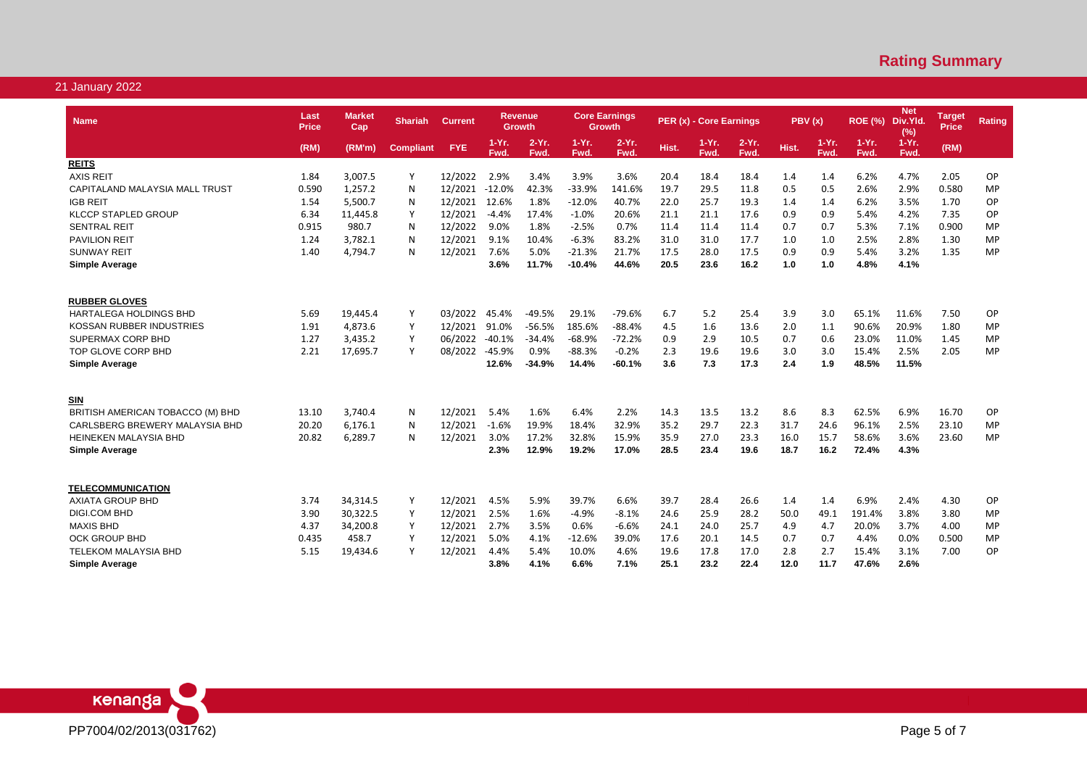| <b>Name</b>                      | Last<br><b>Price</b> | <b>Market</b><br>Cap | <b>Shariah</b>   | <b>Current</b> |                 | Revenue<br><b>Growth</b> | <b>Core Earnings</b> | <b>Growth</b>    |       | PER (x) - Core Earnings |                  | PBV(x) |                 | <b>ROE (%)</b>   | <b>Net</b><br>Div.Yld.<br>(%) | <b>Target</b><br>Price | <b>Rating</b> |
|----------------------------------|----------------------|----------------------|------------------|----------------|-----------------|--------------------------|----------------------|------------------|-------|-------------------------|------------------|--------|-----------------|------------------|-------------------------------|------------------------|---------------|
|                                  | (RM)                 | (RM'm)               | <b>Compliant</b> | <b>FYE</b>     | $1-Yr.$<br>Fwd. | $2-Yr$ .<br>Fwd.         | $1-Yr.$<br>Fwd.      | $2-Yr$ .<br>Fwd. | Hist. | 1-Yr.<br>Fwd.           | $2-Yr$ .<br>Fwd. | Hist.  | $1-Yr.$<br>Fwd. | $1-Yr$ .<br>Fwd. | $1-Yr.$<br>Fwd.               | (RM)                   |               |
| <b>REITS</b>                     |                      |                      |                  |                |                 |                          |                      |                  |       |                         |                  |        |                 |                  |                               |                        |               |
| <b>AXIS REIT</b>                 | 1.84                 | 3,007.5              | Υ                | 12/2022        | 2.9%            | 3.4%                     | 3.9%                 | 3.6%             | 20.4  | 18.4                    | 18.4             | 1.4    | 1.4             | 6.2%             | 4.7%                          | 2.05                   | OP            |
| CAPITALAND MALAYSIA MALL TRUST   | 0.590                | 1,257.2              | N                | 12/2021        | $-12.0%$        | 42.3%                    | $-33.9%$             | 141.6%           | 19.7  | 29.5                    | 11.8             | 0.5    | 0.5             | 2.6%             | 2.9%                          | 0.580                  | MP            |
| <b>IGB REIT</b>                  | 1.54                 | 5,500.7              | N                | 12/2021        | 12.6%           | 1.8%                     | $-12.0%$             | 40.7%            | 22.0  | 25.7                    | 19.3             | 1.4    | 1.4             | 6.2%             | 3.5%                          | 1.70                   | OP            |
| <b>KLCCP STAPLED GROUP</b>       | 6.34                 | 11,445.8             | Υ                | 12/2021        | $-4.4%$         | 17.4%                    | $-1.0%$              | 20.6%            | 21.1  | 21.1                    | 17.6             | 0.9    | 0.9             | 5.4%             | 4.2%                          | 7.35                   | OP            |
| <b>SENTRAL REIT</b>              | 0.915                | 980.7                | N                | 12/2022        | 9.0%            | 1.8%                     | $-2.5%$              | 0.7%             | 11.4  | 11.4                    | 11.4             | 0.7    | 0.7             | 5.3%             | 7.1%                          | 0.900                  | <b>MP</b>     |
| <b>PAVILION REIT</b>             | 1.24                 | 3,782.1              | N                | 12/2021        | 9.1%            | 10.4%                    | $-6.3%$              | 83.2%            | 31.0  | 31.0                    | 17.7             | 1.0    | 1.0             | 2.5%             | 2.8%                          | 1.30                   | <b>MP</b>     |
| <b>SUNWAY REIT</b>               | 1.40                 | 4,794.7              | N                | 12/2021        | 7.6%            | 5.0%                     | $-21.3%$             | 21.7%            | 17.5  | 28.0                    | 17.5             | 0.9    | 0.9             | 5.4%             | 3.2%                          | 1.35                   | <b>MP</b>     |
| <b>Simple Average</b>            |                      |                      |                  |                | 3.6%            | 11.7%                    | $-10.4%$             | 44.6%            | 20.5  | 23.6                    | 16.2             | 1.0    | 1.0             | 4.8%             | 4.1%                          |                        |               |
| <b>RUBBER GLOVES</b>             |                      |                      |                  |                |                 |                          |                      |                  |       |                         |                  |        |                 |                  |                               |                        |               |
| <b>HARTALEGA HOLDINGS BHD</b>    | 5.69                 | 19.445.4             | Υ                | 03/2022        | 45.4%           | $-49.5%$                 | 29.1%                | $-79.6%$         | 6.7   | 5.2                     | 25.4             | 3.9    | 3.0             | 65.1%            | 11.6%                         | 7.50                   | OP            |
| KOSSAN RUBBER INDUSTRIES         | 1.91                 | 4,873.6              | Υ                | 12/2021        | 91.0%           | $-56.5%$                 | 185.6%               | $-88.4%$         | 4.5   | 1.6                     | 13.6             | 2.0    | 1.1             | 90.6%            | 20.9%                         | 1.80                   | <b>MP</b>     |
| SUPERMAX CORP BHD                | 1.27                 | 3,435.2              | Y                | 06/2022        | $-40.1%$        | $-34.4%$                 | $-68.9%$             | $-72.2%$         | 0.9   | 2.9                     | 10.5             | 0.7    | 0.6             | 23.0%            | 11.0%                         | 1.45                   | <b>MP</b>     |
| TOP GLOVE CORP BHD               | 2.21                 | 17,695.7             | Υ                | 08/2022        | $-45.9%$        | 0.9%                     | $-88.3%$             | $-0.2%$          | 2.3   | 19.6                    | 19.6             | 3.0    | 3.0             | 15.4%            | 2.5%                          | 2.05                   | <b>MP</b>     |
| <b>Simple Average</b>            |                      |                      |                  |                | 12.6%           | $-34.9%$                 | 14.4%                | $-60.1%$         | 3.6   | 7.3                     | 17.3             | 2.4    | 1.9             | 48.5%            | 11.5%                         |                        |               |
|                                  |                      |                      |                  |                |                 |                          |                      |                  |       |                         |                  |        |                 |                  |                               |                        |               |
| <b>SIN</b>                       |                      |                      |                  |                |                 |                          |                      |                  |       |                         |                  |        |                 |                  |                               |                        |               |
| BRITISH AMERICAN TOBACCO (M) BHD | 13.10                | 3,740.4              | N                | 12/2021        | 5.4%            | 1.6%                     | 6.4%                 | 2.2%             | 14.3  | 13.5                    | 13.2             | 8.6    | 8.3             | 62.5%            | 6.9%                          | 16.70                  | OP            |
| CARLSBERG BREWERY MALAYSIA BHD   | 20.20                | 6.176.1              | N                | 12/2021        | $-1.6%$         | 19.9%                    | 18.4%                | 32.9%            | 35.2  | 29.7                    | 22.3             | 31.7   | 24.6            | 96.1%            | 2.5%                          | 23.10                  | <b>MP</b>     |
| <b>HEINEKEN MALAYSIA BHD</b>     | 20.82                | 6,289.7              | N                | 12/2021        | 3.0%            | 17.2%                    | 32.8%                | 15.9%            | 35.9  | 27.0                    | 23.3             | 16.0   | 15.7            | 58.6%            | 3.6%                          | 23.60                  | <b>MP</b>     |
| <b>Simple Average</b>            |                      |                      |                  |                | 2.3%            | 12.9%                    | 19.2%                | 17.0%            | 28.5  | 23.4                    | 19.6             | 18.7   | 16.2            | 72.4%            | 4.3%                          |                        |               |
| <b>TELECOMMUNICATION</b>         |                      |                      |                  |                |                 |                          |                      |                  |       |                         |                  |        |                 |                  |                               |                        |               |
| <b>AXIATA GROUP BHD</b>          | 3.74                 | 34,314.5             | Y                | 12/2021        | 4.5%            | 5.9%                     | 39.7%                | 6.6%             | 39.7  | 28.4                    | 26.6             | 1.4    | 1.4             | 6.9%             | 2.4%                          | 4.30                   | OP            |
| <b>DIGI.COM BHD</b>              | 3.90                 | 30,322.5             | Y                | 12/2021        | 2.5%            | 1.6%                     | $-4.9%$              | $-8.1%$          | 24.6  | 25.9                    | 28.2             | 50.0   | 49.1            | 191.4%           | 3.8%                          | 3.80                   | MP            |
| <b>MAXIS BHD</b>                 | 4.37                 | 34,200.8             | Y                | 12/2021        | 2.7%            | 3.5%                     | 0.6%                 | $-6.6%$          | 24.1  | 24.0                    | 25.7             | 4.9    | 4.7             | 20.0%            | 3.7%                          | 4.00                   | <b>MP</b>     |
| <b>OCK GROUP BHD</b>             | 0.435                | 458.7                | Y                | 12/2021        | 5.0%            | 4.1%                     | $-12.6%$             | 39.0%            | 17.6  | 20.1                    | 14.5             | 0.7    | 0.7             | 4.4%             | 0.0%                          | 0.500                  | <b>MP</b>     |
| <b>TELEKOM MALAYSIA BHD</b>      | 5.15                 | 19.434.6             | Y                | 12/2021        | 4.4%            | 5.4%                     | 10.0%                | 4.6%             | 19.6  | 17.8                    | 17.0             | 2.8    | 2.7             | 15.4%            | 3.1%                          | 7.00                   | OP            |
| <b>Simple Average</b>            |                      |                      |                  |                | 3.8%            | 4.1%                     | 6.6%                 | 7.1%             | 25.1  | 23.2                    | 22.4             | 12.0   | 11.7            | 47.6%            | 2.6%                          |                        |               |

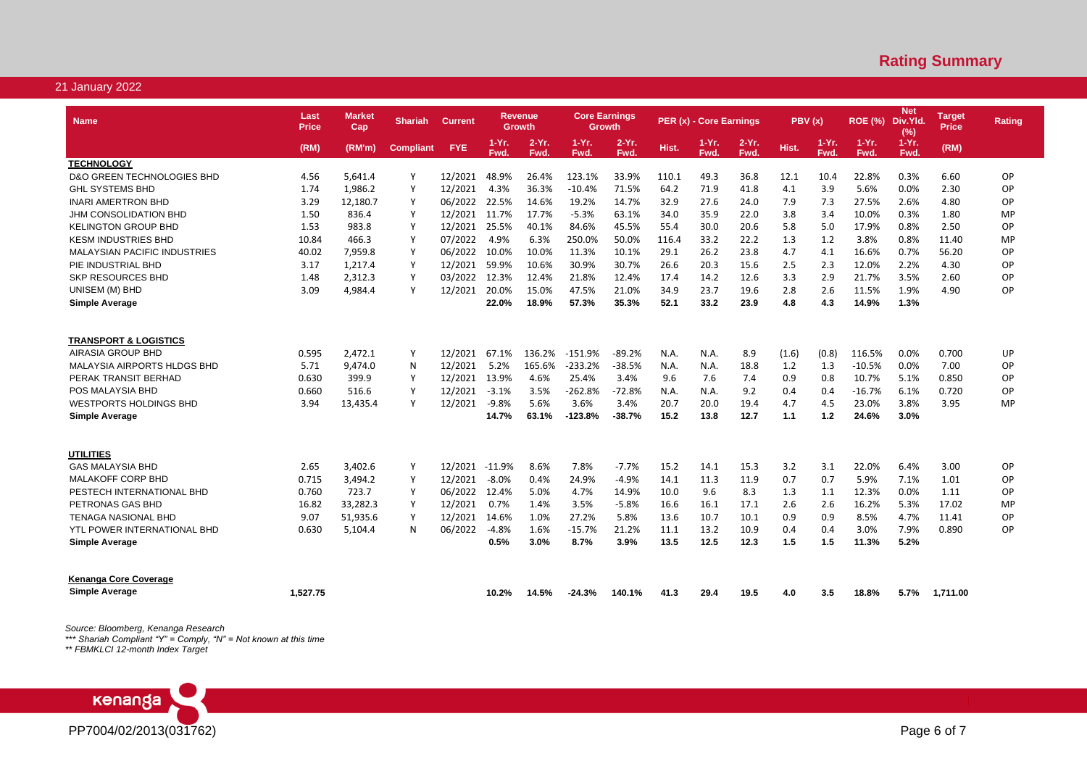| <b>Name</b>                         | Last<br><b>Price</b> | Market<br>Cap | <b>Shariah</b>   | <b>Current</b> |                 | <b>Revenue</b><br>Growth | <b>Core Earnings</b> | Growth          |       | PER (x) - Core Earnings |                 | PBV(x) |                 | <b>ROE (%)</b>   | <b>Net</b><br>Div.Yld<br>(% ) | Target<br><b>Price</b> | Rating    |
|-------------------------------------|----------------------|---------------|------------------|----------------|-----------------|--------------------------|----------------------|-----------------|-------|-------------------------|-----------------|--------|-----------------|------------------|-------------------------------|------------------------|-----------|
|                                     | (RM)                 | (RM'm)        | <b>Compliant</b> | <b>FYE</b>     | $1-Yr.$<br>Fwd. | $2-Yr$ .<br>Fwd.         | $1-Yr$ .<br>Fwd.     | $2-Yr.$<br>Fwd. | Hist. | $1-Yr.$<br>Fwd.         | $2-Yr.$<br>Fwd. | Hist.  | $1-Yr.$<br>Fwd. | $1-Yr$ .<br>Fwd. | $1-Yr.$<br>Fwd.               | (RM)                   |           |
| <b>TECHNOLOGY</b>                   |                      |               |                  |                |                 |                          |                      |                 |       |                         |                 |        |                 |                  |                               |                        |           |
| D&O GREEN TECHNOLOGIES BHD          | 4.56                 | 5,641.4       | Y                | 12/2021        | 48.9%           | 26.4%                    | 123.1%               | 33.9%           | 110.1 | 49.3                    | 36.8            | 12.1   | 10.4            | 22.8%            | 0.3%                          | 6.60                   | OP        |
| <b>GHL SYSTEMS BHD</b>              | 1.74                 | 1,986.2       | Y                | 12/2021        | 4.3%            | 36.3%                    | $-10.4%$             | 71.5%           | 64.2  | 71.9                    | 41.8            | 4.1    | 3.9             | 5.6%             | 0.0%                          | 2.30                   | OP        |
| <b>INARI AMERTRON BHD</b>           | 3.29                 | 12,180.7      | Y                | 06/2022        | 22.5%           | 14.6%                    | 19.2%                | 14.7%           | 32.9  | 27.6                    | 24.0            | 7.9    | 7.3             | 27.5%            | 2.6%                          | 4.80                   | OP        |
| JHM CONSOLIDATION BHD               | 1.50                 | 836.4         | Y                | 12/2021        | 11.7%           | 17.7%                    | $-5.3%$              | 63.1%           | 34.0  | 35.9                    | 22.0            | 3.8    | 3.4             | 10.0%            | 0.3%                          | 1.80                   | MP        |
| <b>KELINGTON GROUP BHD</b>          | 1.53                 | 983.8         | Y                | 12/2021        | 25.5%           | 40.1%                    | 84.6%                | 45.5%           | 55.4  | 30.0                    | 20.6            | 5.8    | 5.0             | 17.9%            | 0.8%                          | 2.50                   | OP        |
| <b>KESM INDUSTRIES BHD</b>          | 10.84                | 466.3         | <sup>V</sup>     | 07/2022        | 4.9%            | 6.3%                     | 250.0%               | 50.0%           | 116.4 | 33.2                    | 22.2            | 1.3    | 1.2             | 3.8%             | 0.8%                          | 11.40                  | MP        |
| <b>MALAYSIAN PACIFIC INDUSTRIES</b> | 40.02                | 7,959.8       | Y                | 06/2022        | 10.0%           | 10.0%                    | 11.3%                | 10.1%           | 29.1  | 26.2                    | 23.8            | 4.7    | 4.1             | 16.6%            | 0.7%                          | 56.20                  | OP        |
| PIE INDUSTRIAL BHD                  | 3.17                 | 1,217.4       | Y                | 12/2021        | 59.9%           | 10.6%                    | 30.9%                | 30.7%           | 26.6  | 20.3                    | 15.6            | 2.5    | 2.3             | 12.0%            | 2.2%                          | 4.30                   | OP        |
| <b>SKP RESOURCES BHD</b>            | 1.48                 | 2,312.3       | Y                | 03/2022        | 12.3%           | 12.4%                    | 21.8%                | 12.4%           | 17.4  | 14.2                    | 12.6            | 3.3    | 2.9             | 21.7%            | 3.5%                          | 2.60                   | OP        |
| UNISEM (M) BHD                      | 3.09                 | 4,984.4       | Y                | 12/2021        | 20.0%           | 15.0%                    | 47.5%                | 21.0%           | 34.9  | 23.7                    | 19.6            | 2.8    | 2.6             | 11.5%            | 1.9%                          | 4.90                   | OP        |
| <b>Simple Average</b>               |                      |               |                  |                | 22.0%           | 18.9%                    | 57.3%                | 35.3%           | 52.1  | 33.2                    | 23.9            | 4.8    | 4.3             | 14.9%            | 1.3%                          |                        |           |
|                                     |                      |               |                  |                |                 |                          |                      |                 |       |                         |                 |        |                 |                  |                               |                        |           |
| <b>TRANSPORT &amp; LOGISTICS</b>    |                      |               |                  |                |                 |                          |                      |                 |       |                         |                 |        |                 |                  |                               |                        |           |
| AIRASIA GROUP BHD                   | 0.595                | 2.472.1       | Y                | 12/2021        | 67.1%           | 136.2%                   | $-151.9%$            | $-89.2%$        | N.A.  | N.A.                    | 8.9             | (1.6)  | (0.8)           | 116.5%           | 0.0%                          | 0.700                  | UP        |
| MALAYSIA AIRPORTS HLDGS BHD         | 5.71                 | 9,474.0       | N                | 12/2021        | 5.2%            | 165.6%                   | $-233.2%$            | $-38.5%$        | N.A.  | N.A.                    | 18.8            | 1.2    | 1.3             | $-10.5%$         | 0.0%                          | 7.00                   | OP        |
| PERAK TRANSIT BERHAD                | 0.630                | 399.9         | Y                | 12/2021        | 13.9%           | 4.6%                     | 25.4%                | 3.4%            | 9.6   | 7.6                     | 7.4             | 0.9    | 0.8             | 10.7%            | 5.1%                          | 0.850                  | OP        |
| POS MALAYSIA BHD                    | 0.660                | 516.6         | Y                | 12/2021        | $-3.1%$         | 3.5%                     | $-262.8%$            | $-72.8%$        | N.A.  | N.A.                    | 9.2             | 0.4    | 0.4             | $-16.7%$         | 6.1%                          | 0.720                  | OP        |
| <b>WESTPORTS HOLDINGS BHD</b>       | 3.94                 | 13,435.4      | Y                | 12/2021        | $-9.8%$         | 5.6%                     | 3.6%                 | 3.4%            | 20.7  | 20.0                    | 19.4            | 4.7    | 4.5             | 23.0%            | 3.8%                          | 3.95                   | MP        |
| Simple Average                      |                      |               |                  |                | 14.7%           | 63.1%                    | $-123.8%$            | -38.7%          | 15.2  | 13.8                    | 12.7            | 1.1    | 1.2             | 24.6%            | 3.0%                          |                        |           |
|                                     |                      |               |                  |                |                 |                          |                      |                 |       |                         |                 |        |                 |                  |                               |                        |           |
| <b>UTILITIES</b>                    |                      |               |                  |                |                 |                          |                      |                 |       |                         |                 |        |                 |                  |                               |                        |           |
| <b>GAS MALAYSIA BHD</b>             | 2.65                 | 3,402.6       | Y                | 12/2021        | $-11.9%$        | 8.6%                     | 7.8%                 | $-7.7%$         | 15.2  | 14.1                    | 15.3            | 3.2    | 3.1             | 22.0%            | 6.4%                          | 3.00                   | OP        |
| <b>MALAKOFF CORP BHD</b>            | 0.715                | 3,494.2       | Y                | 12/2021        | $-8.0%$         | 0.4%                     | 24.9%                | $-4.9%$         | 14.1  | 11.3                    | 11.9            | 0.7    | 0.7             | 5.9%             | 7.1%                          | 1.01                   | OP        |
| PESTECH INTERNATIONAL BHD           | 0.760                | 723.7         | Y                | 06/2022        | 12.4%           | 5.0%                     | 4.7%                 | 14.9%           | 10.0  | 9.6                     | 8.3             | 1.3    | 1.1             | 12.3%            | 0.0%                          | 1.11                   | OP        |
| PETRONAS GAS BHD                    | 16.82                | 33,282.3      | Y                | 12/2021        | 0.7%            | 1.4%                     | 3.5%                 | $-5.8%$         | 16.6  | 16.1                    | 17.1            | 2.6    | 2.6             | 16.2%            | 5.3%                          | 17.02                  | <b>MP</b> |
| <b>TENAGA NASIONAL BHD</b>          | 9.07                 | 51,935.6      | Y                | 12/2021        | 14.6%           | 1.0%                     | 27.2%                | 5.8%            | 13.6  | 10.7                    | 10.1            | 0.9    | 0.9             | 8.5%             | 4.7%                          | 11.41                  | OP        |
| <b>YTL POWER INTERNATIONAL BHD</b>  | 0.630                | 5,104.4       | N                | 06/2022        | -4.8%           | 1.6%                     | $-15.7%$             | 21.2%           | 11.1  | 13.2                    | 10.9            | 0.4    | 0.4             | 3.0%             | 7.9%                          | 0.890                  | OP        |
| <b>Simple Average</b>               |                      |               |                  |                | 0.5%            | 3.0%                     | 8.7%                 | 3.9%            | 13.5  | 12.5                    | 12.3            | 1.5    | 1.5             | 11.3%            | 5.2%                          |                        |           |
| <b>Kenanga Core Coverage</b>        |                      |               |                  |                |                 |                          |                      |                 |       |                         |                 |        |                 |                  |                               |                        |           |
| <b>Simple Average</b>               | 1.527.75             |               |                  |                | 10.2%           | 14.5%                    | $-24.3%$             | 140.1%          | 41.3  | 29.4                    | 19.5            | 4.0    | 3.5             | 18.8%            | 5.7%                          | 1,711.00               |           |

*Source: Bloomberg, Kenanga Research*

*\*\*\* Shariah Compliant "Y" = Comply, "N" = Not known at this time*

*\*\* FBMKLCI 12-month Index Target*